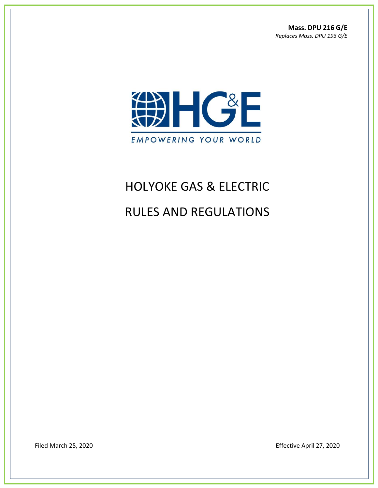**Mass. DPU 216 G/E** *Replaces Mass. DPU 193 G/E*



# HOLYOKE GAS & ELECTRIC

# RULES AND REGULATIONS

Filed March 25, 2020 **Effective April 27, 2020**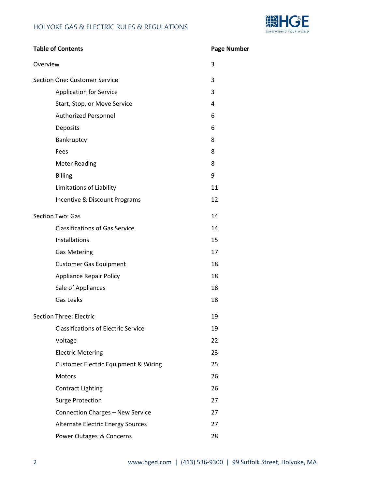

| <b>Table of Contents</b>             |                                                 | <b>Page Number</b> |
|--------------------------------------|-------------------------------------------------|--------------------|
| Overview                             |                                                 | 3                  |
| <b>Section One: Customer Service</b> |                                                 | 3                  |
|                                      | <b>Application for Service</b>                  | 3                  |
|                                      | Start, Stop, or Move Service                    | 4                  |
|                                      | <b>Authorized Personnel</b>                     | 6                  |
|                                      | Deposits                                        | 6                  |
|                                      | Bankruptcy                                      | 8                  |
|                                      | Fees                                            | 8                  |
|                                      | <b>Meter Reading</b>                            | 8                  |
|                                      | <b>Billing</b>                                  | 9                  |
|                                      | <b>Limitations of Liability</b>                 | 11                 |
|                                      | Incentive & Discount Programs                   | 12                 |
|                                      | Section Two: Gas                                | 14                 |
|                                      | <b>Classifications of Gas Service</b>           | 14                 |
|                                      | Installations                                   | 15                 |
|                                      | <b>Gas Metering</b>                             | 17                 |
|                                      | <b>Customer Gas Equipment</b>                   | 18                 |
|                                      | <b>Appliance Repair Policy</b>                  | 18                 |
|                                      | Sale of Appliances                              | 18                 |
|                                      | Gas Leaks                                       | 18                 |
| <b>Section Three: Electric</b>       |                                                 | 19                 |
|                                      | <b>Classifications of Electric Service</b>      | 19                 |
|                                      | Voltage                                         | 22                 |
|                                      | <b>Electric Metering</b>                        | 23                 |
|                                      | <b>Customer Electric Equipment &amp; Wiring</b> | 25                 |
|                                      | Motors                                          | 26                 |
|                                      | <b>Contract Lighting</b>                        | 26                 |
|                                      | <b>Surge Protection</b>                         | 27                 |
|                                      | Connection Charges - New Service                | 27                 |
|                                      | Alternate Electric Energy Sources               | 27                 |
|                                      | Power Outages & Concerns                        | 28                 |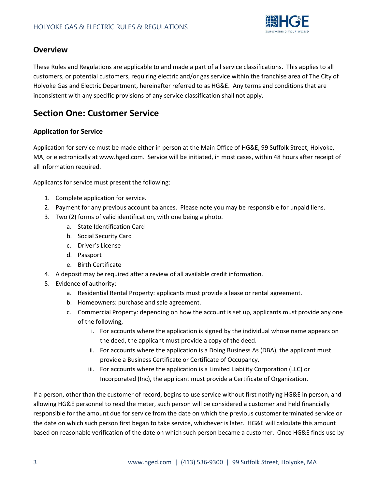

# **Overview**

These Rules and Regulations are applicable to and made a part of all service classifications. This applies to all customers, or potential customers, requiring electric and/or gas service within the franchise area of The City of Holyoke Gas and Electric Department, hereinafter referred to as HG&E. Any terms and conditions that are inconsistent with any specific provisions of any service classification shall not apply.

# **Section One: Customer Service**

## **Application for Service**

Application for service must be made either in person at the Main Office of HG&E, 99 Suffolk Street, Holyoke, MA, or electronically at www.hged.com. Service will be initiated, in most cases, within 48 hours after receipt of all information required.

Applicants for service must present the following:

- 1. Complete application for service.
- 2. Payment for any previous account balances. Please note you may be responsible for unpaid liens.
- 3. Two (2) forms of valid identification, with one being a photo.
	- a. State Identification Card
	- b. Social Security Card
	- c. Driver's License
	- d. Passport
	- e. Birth Certificate
- 4. A deposit may be required after a review of all available credit information.
- 5. Evidence of authority:
	- a. Residential Rental Property: applicants must provide a lease or rental agreement.
	- b. Homeowners: purchase and sale agreement.
	- c. Commercial Property: depending on how the account is set up, applicants must provide any one of the following,
		- i. For accounts where the application is signed by the individual whose name appears on the deed, the applicant must provide a copy of the deed.
		- ii. For accounts where the application is a Doing Business As (DBA), the applicant must provide a Business Certificate or Certificate of Occupancy.
		- iii. For accounts where the application is a Limited Liability Corporation (LLC) or Incorporated (Inc), the applicant must provide a Certificate of Organization.

If a person, other than the customer of record, begins to use service without first notifying HG&E in person, and allowing HG&E personnel to read the meter, such person will be considered a customer and held financially responsible for the amount due for service from the date on which the previous customer terminated service or the date on which such person first began to take service, whichever is later. HG&E will calculate this amount based on reasonable verification of the date on which such person became a customer. Once HG&E finds use by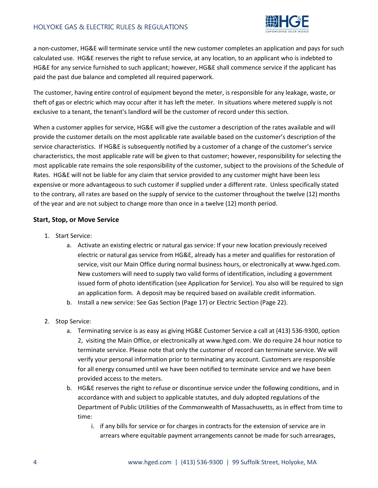

a non-customer, HG&E will terminate service until the new customer completes an application and pays for such calculated use. HG&E reserves the right to refuse service, at any location, to an applicant who is indebted to HG&E for any service furnished to such applicant; however, HG&E shall commence service if the applicant has paid the past due balance and completed all required paperwork.

The customer, having entire control of equipment beyond the meter, is responsible for any leakage, waste, or theft of gas or electric which may occur after it has left the meter. In situations where metered supply is not exclusive to a tenant, the tenant's landlord will be the customer of record under this section.

When a customer applies for service, HG&E will give the customer a description of the rates available and will provide the customer details on the most applicable rate available based on the customer's description of the service characteristics. If HG&E is subsequently notified by a customer of a change of the customer's service characteristics, the most applicable rate will be given to that customer; however, responsibility for selecting the most applicable rate remains the sole responsibility of the customer, subject to the provisions of the Schedule of Rates. HG&E will not be liable for any claim that service provided to any customer might have been less expensive or more advantageous to such customer if supplied under a different rate. Unless specifically stated to the contrary, all rates are based on the supply of service to the customer throughout the twelve (12) months of the year and are not subject to change more than once in a twelve (12) month period.

#### **Start, Stop, or Move Service**

- 1. Start Service:
	- a. Activate an existing electric or natural gas service: If your new location previously received electric or natural gas service from HG&E, already has a meter and qualifies for restoration of service, visit our Main Office during normal business hours, or electronically at www.hged.com. New customers will need to supply two valid forms of identification, including a government issued form of photo identification (see Application for Service). You also will be required to sign an application form. A deposit may be required based on available credit information.
	- b. Install a new service: See Gas Section (Page 17) or Electric Section (Page 22).
- 2. Stop Service:
	- a. Terminating service is as easy as giving HG&E Customer Service a call at (413) 536-9300, option 2, visiting the Main Office, or electronically at www.hged.com. We do require 24 hour notice to terminate service. Please note that only the customer of record can terminate service. We will verify your personal information prior to terminating any account. Customers are responsible for all energy consumed until we have been notified to terminate service and we have been provided access to the meters.
	- b. HG&E reserves the right to refuse or discontinue service under the following conditions, and in accordance with and subject to applicable statutes, and duly adopted regulations of the Department of Public Utilities of the Commonwealth of Massachusetts, as in effect from time to time:
		- i. if any bills for service or for charges in contracts for the extension of service are in arrears where equitable payment arrangements cannot be made for such arrearages,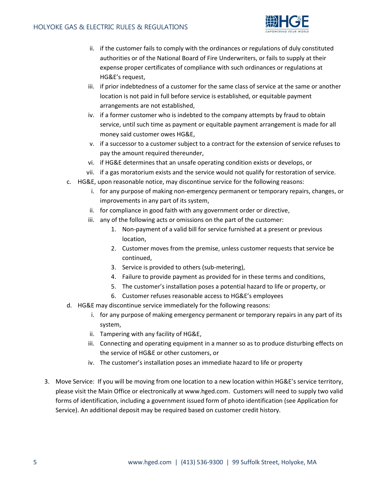

- ii. if the customer fails to comply with the ordinances or regulations of duly constituted authorities or of the National Board of Fire Underwriters, or fails to supply at their expense proper certificates of compliance with such ordinances or regulations at HG&E's request,
- iii. if prior indebtedness of a customer for the same class of service at the same or another location is not paid in full before service is established, or equitable payment arrangements are not established,
- iv. if a former customer who is indebted to the company attempts by fraud to obtain service, until such time as payment or equitable payment arrangement is made for all money said customer owes HG&E,
- v. if a successor to a customer subject to a contract for the extension of service refuses to pay the amount required thereunder,
- vi. if HG&E determines that an unsafe operating condition exists or develops, or
- vii. if a gas moratorium exists and the service would not qualify for restoration of service.
- c. HG&E, upon reasonable notice, may discontinue service for the following reasons:
	- i. for any purpose of making non-emergency permanent or temporary repairs, changes, or improvements in any part of its system,
	- ii. for compliance in good faith with any government order or directive,
	- iii. any of the following acts or omissions on the part of the customer:
		- 1. Non-payment of a valid bill for service furnished at a present or previous location,
		- 2. Customer moves from the premise, unless customer requests that service be continued,
		- 3. Service is provided to others (sub-metering),
		- 4. Failure to provide payment as provided for in these terms and conditions,
		- 5. The customer's installation poses a potential hazard to life or property, or
		- 6. Customer refuses reasonable access to HG&E's employees
- d. HG&E may discontinue service immediately for the following reasons:
	- i. for any purpose of making emergency permanent or temporary repairs in any part of its system,
	- ii. Tampering with any facility of HG&E,
	- iii. Connecting and operating equipment in a manner so as to produce disturbing effects on the service of HG&E or other customers, or
	- iv. The customer's installation poses an immediate hazard to life or property
- 3. Move Service: If you will be moving from one location to a new location within HG&E's service territory, please visit the Main Office or electronically at www.hged.com. Customers will need to supply two valid forms of identification, including a government issued form of photo identification (see Application for Service). An additional deposit may be required based on customer credit history.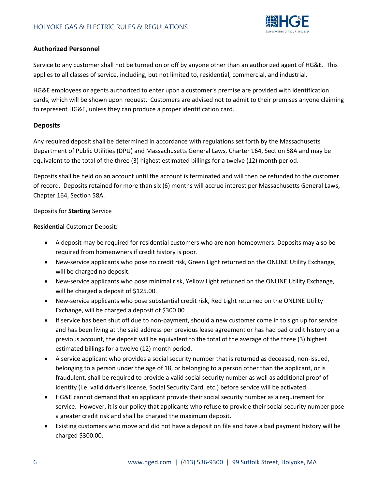

### **Authorized Personnel**

Service to any customer shall not be turned on or off by anyone other than an authorized agent of HG&E. This applies to all classes of service, including, but not limited to, residential, commercial, and industrial.

HG&E employees or agents authorized to enter upon a customer's premise are provided with identification cards, which will be shown upon request. Customers are advised not to admit to their premises anyone claiming to represent HG&E, unless they can produce a proper identification card.

## **Deposits**

Any required deposit shall be determined in accordance with regulations set forth by the Massachusetts Department of Public Utilities (DPU) and Massachusetts General Laws, Charter 164, Section 58A and may be equivalent to the total of the three (3) highest estimated billings for a twelve (12) month period.

Deposits shall be held on an account until the account is terminated and will then be refunded to the customer of record. Deposits retained for more than six (6) months will accrue interest per Massachusetts General Laws, Chapter 164, Section 58A.

#### Deposits for **Starting** Service

#### **Residential** Customer Deposit:

- A deposit may be required for residential customers who are non-homeowners. Deposits may also be required from homeowners if credit history is poor.
- New-service applicants who pose no credit risk, Green Light returned on the ONLINE Utility Exchange, will be charged no deposit.
- New-service applicants who pose minimal risk, Yellow Light returned on the ONLINE Utility Exchange, will be charged a deposit of \$125.00.
- New-service applicants who pose substantial credit risk, Red Light returned on the ONLINE Utility Exchange, will be charged a deposit of \$300.00
- If service has been shut off due to non-payment, should a new customer come in to sign up for service and has been living at the said address per previous lease agreement or has had bad credit history on a previous account, the deposit will be equivalent to the total of the average of the three (3) highest estimated billings for a twelve (12) month period.
- A service applicant who provides a social security number that is returned as deceased, non-issued, belonging to a person under the age of 18, or belonging to a person other than the applicant, or is fraudulent, shall be required to provide a valid social security number as well as additional proof of identity (i.e. valid driver's license, Social Security Card, etc.) before service will be activated.
- HG&E cannot demand that an applicant provide their social security number as a requirement for service. However, it is our policy that applicants who refuse to provide their social security number pose a greater credit risk and shall be charged the maximum deposit.
- Existing customers who move and did not have a deposit on file and have a bad payment history will be charged \$300.00.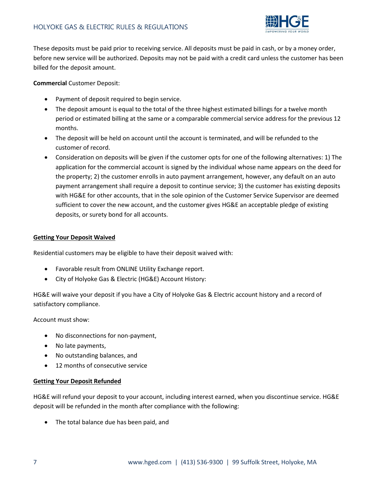

These deposits must be paid prior to receiving service. All deposits must be paid in cash, or by a money order, before new service will be authorized. Deposits may not be paid with a credit card unless the customer has been billed for the deposit amount.

**Commercial** Customer Deposit:

- Payment of deposit required to begin service.
- The deposit amount is equal to the total of the three highest estimated billings for a twelve month period or estimated billing at the same or a comparable commercial service address for the previous 12 months.
- The deposit will be held on account until the account is terminated, and will be refunded to the customer of record.
- Consideration on deposits will be given if the customer opts for one of the following alternatives: 1) The application for the commercial account is signed by the individual whose name appears on the deed for the property; 2) the customer enrolls in auto payment arrangement, however, any default on an auto payment arrangement shall require a deposit to continue service; 3) the customer has existing deposits with HG&E for other accounts, that in the sole opinion of the Customer Service Supervisor are deemed sufficient to cover the new account, and the customer gives HG&E an acceptable pledge of existing deposits, or surety bond for all accounts.

#### **Getting Your Deposit Waived**

Residential customers may be eligible to have their deposit waived with:

- Favorable result from ONLINE Utility Exchange report.
- City of Holyoke Gas & Electric (HG&E) Account History:

HG&E will waive your deposit if you have a City of Holyoke Gas & Electric account history and a record of satisfactory compliance.

Account must show:

- No disconnections for non-payment,
- No late payments,
- No outstanding balances, and
- 12 months of consecutive service

#### **Getting Your Deposit Refunded**

HG&E will refund your deposit to your account, including interest earned, when you discontinue service. HG&E deposit will be refunded in the month after compliance with the following:

The total balance due has been paid, and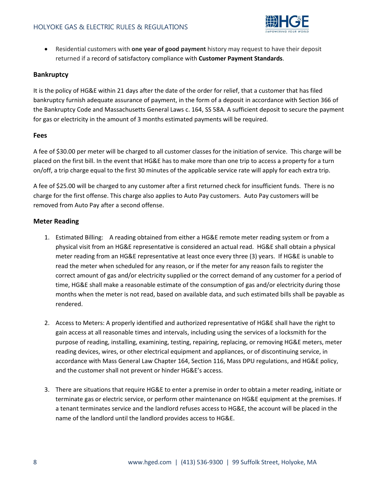

 Residential customers with **one year of good payment** history may request to have their deposit returned if a record of satisfactory compliance with **Customer Payment Standards**.

#### **Bankruptcy**

It is the policy of HG&E within 21 days after the date of the order for relief, that a customer that has filed bankruptcy furnish adequate assurance of payment, in the form of a deposit in accordance with Section 366 of the Bankruptcy Code and Massachusetts General Laws c. 164, SS 58A. A sufficient deposit to secure the payment for gas or electricity in the amount of 3 months estimated payments will be required.

#### **Fees**

A fee of \$30.00 per meter will be charged to all customer classes for the initiation of service. This charge will be placed on the first bill. In the event that HG&E has to make more than one trip to access a property for a turn on/off, a trip charge equal to the first 30 minutes of the applicable service rate will apply for each extra trip.

A fee of \$25.00 will be charged to any customer after a first returned check for insufficient funds. There is no charge for the first offense. This charge also applies to Auto Pay customers. Auto Pay customers will be removed from Auto Pay after a second offense.

#### **Meter Reading**

- 1. Estimated Billing: A reading obtained from either a HG&E remote meter reading system or from a physical visit from an HG&E representative is considered an actual read. HG&E shall obtain a physical meter reading from an HG&E representative at least once every three (3) years. If HG&E is unable to read the meter when scheduled for any reason, or if the meter for any reason fails to register the correct amount of gas and/or electricity supplied or the correct demand of any customer for a period of time, HG&E shall make a reasonable estimate of the consumption of gas and/or electricity during those months when the meter is not read, based on available data, and such estimated bills shall be payable as rendered.
- 2. Access to Meters: A properly identified and authorized representative of HG&E shall have the right to gain access at all reasonable times and intervals, including using the services of a locksmith for the purpose of reading, installing, examining, testing, repairing, replacing, or removing HG&E meters, meter reading devices, wires, or other electrical equipment and appliances, or of discontinuing service, in accordance with Mass General Law Chapter 164, Section 116, Mass DPU regulations, and HG&E policy, and the customer shall not prevent or hinder HG&E's access.
- 3. There are situations that require HG&E to enter a premise in order to obtain a meter reading, initiate or terminate gas or electric service, or perform other maintenance on HG&E equipment at the premises. If a tenant terminates service and the landlord refuses access to HG&E, the account will be placed in the name of the landlord until the landlord provides access to HG&E.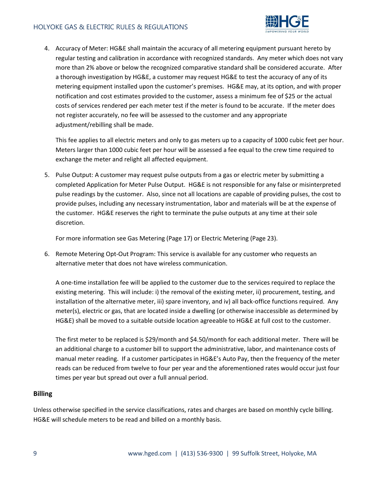

4. Accuracy of Meter: HG&E shall maintain the accuracy of all metering equipment pursuant hereto by regular testing and calibration in accordance with recognized standards. Any meter which does not vary more than 2% above or below the recognized comparative standard shall be considered accurate. After a thorough investigation by HG&E, a customer may request HG&E to test the accuracy of any of its metering equipment installed upon the customer's premises. HG&E may, at its option, and with proper notification and cost estimates provided to the customer, assess a minimum fee of \$25 or the actual costs of services rendered per each meter test if the meter is found to be accurate. If the meter does not register accurately, no fee will be assessed to the customer and any appropriate adjustment/rebilling shall be made.

This fee applies to all electric meters and only to gas meters up to a capacity of 1000 cubic feet per hour. Meters larger than 1000 cubic feet per hour will be assessed a fee equal to the crew time required to exchange the meter and relight all affected equipment.

5. Pulse Output: A customer may request pulse outputs from a gas or electric meter by submitting a completed Application for Meter Pulse Output. HG&E is not responsible for any false or misinterpreted pulse readings by the customer. Also, since not all locations are capable of providing pulses, the cost to provide pulses, including any necessary instrumentation, labor and materials will be at the expense of the customer. HG&E reserves the right to terminate the pulse outputs at any time at their sole discretion.

For more information see Gas Metering (Page 17) or Electric Metering (Page 23).

6. Remote Metering Opt-Out Program: This service is available for any customer who requests an alternative meter that does not have wireless communication.

A one-time installation fee will be applied to the customer due to the services required to replace the existing metering. This will include: i) the removal of the existing meter, ii) procurement, testing, and installation of the alternative meter, iii) spare inventory, and iv) all back-office functions required. Any meter(s), electric or gas, that are located inside a dwelling (or otherwise inaccessible as determined by HG&E) shall be moved to a suitable outside location agreeable to HG&E at full cost to the customer.

The first meter to be replaced is \$29/month and \$4.50/month for each additional meter. There will be an additional charge to a customer bill to support the administrative, labor, and maintenance costs of manual meter reading. If a customer participates in HG&E's Auto Pay, then the frequency of the meter reads can be reduced from twelve to four per year and the aforementioned rates would occur just four times per year but spread out over a full annual period.

#### **Billing**

Unless otherwise specified in the service classifications, rates and charges are based on monthly cycle billing. HG&E will schedule meters to be read and billed on a monthly basis.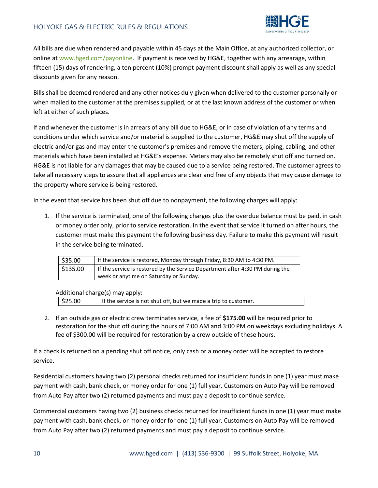

All bills are due when rendered and payable within 45 days at the Main Office, at any authorized collector, or online at [www.hged.com/](http://www.hged.com/)payonline. If payment is received by HG&E, together with any arrearage, within fifteen (15) days of rendering, a ten percent (10%) prompt payment discount shall apply as well as any special discounts given for any reason.

Bills shall be deemed rendered and any other notices duly given when delivered to the customer personally or when mailed to the customer at the premises supplied, or at the last known address of the customer or when left at either of such places.

If and whenever the customer is in arrears of any bill due to HG&E, or in case of violation of any terms and conditions under which service and/or material is supplied to the customer, HG&E may shut off the supply of electric and/or gas and may enter the customer's premises and remove the meters, piping, cabling, and other materials which have been installed at HG&E's expense. Meters may also be remotely shut off and turned on. HG&E is not liable for any damages that may be caused due to a service being restored. The customer agrees to take all necessary steps to assure that all appliances are clear and free of any objects that may cause damage to the property where service is being restored.

In the event that service has been shut off due to nonpayment, the following charges will apply:

1. If the service is terminated, one of the following charges plus the overdue balance must be paid, in cash or money order only, prior to service restoration. In the event that service it turned on after hours, the customer must make this payment the following business day. Failure to make this payment will result in the service being terminated.

| \$35.00 | If the service is restored, Monday through Friday, 8:30 AM to 4:30 PM.        |  |
|---------|-------------------------------------------------------------------------------|--|
| 5135.00 | If the service is restored by the Service Department after 4:30 PM during the |  |
|         | week or anytime on Saturday or Sunday.                                        |  |

Additional charge(s) may apply:

| \$25.00<br>  If the service is not shut off, but we made a trip to customer. |
|------------------------------------------------------------------------------|
|------------------------------------------------------------------------------|

2. If an outside gas or electric crew terminates service, a fee of **\$175.00** will be required prior to restoration for the shut off during the hours of 7:00 AM and 3:00 PM on weekdays excluding holidays A fee of \$300.00 will be required for restoration by a crew outside of these hours.

If a check is returned on a pending shut off notice, only cash or a money order will be accepted to restore service.

Residential customers having two (2) personal checks returned for insufficient funds in one (1) year must make payment with cash, bank check, or money order for one (1) full year. Customers on Auto Pay will be removed from Auto Pay after two (2) returned payments and must pay a deposit to continue service.

Commercial customers having two (2) business checks returned for insufficient funds in one (1) year must make payment with cash, bank check, or money order for one (1) full year. Customers on Auto Pay will be removed from Auto Pay after two (2) returned payments and must pay a deposit to continue service.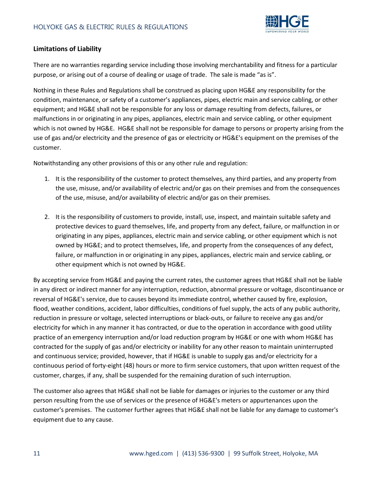

## **Limitations of Liability**

There are no warranties regarding service including those involving merchantability and fitness for a particular purpose, or arising out of a course of dealing or usage of trade. The sale is made "as is".

Nothing in these Rules and Regulations shall be construed as placing upon HG&E any responsibility for the condition, maintenance, or safety of a customer's appliances, pipes, electric main and service cabling, or other equipment; and HG&E shall not be responsible for any loss or damage resulting from defects, failures, or malfunctions in or originating in any pipes, appliances, electric main and service cabling, or other equipment which is not owned by HG&E. HG&E shall not be responsible for damage to persons or property arising from the use of gas and/or electricity and the presence of gas or electricity or HG&E's equipment on the premises of the customer.

Notwithstanding any other provisions of this or any other rule and regulation:

- 1. It is the responsibility of the customer to protect themselves, any third parties, and any property from the use, misuse, and/or availability of electric and/or gas on their premises and from the consequences of the use, misuse, and/or availability of electric and/or gas on their premises.
- 2. It is the responsibility of customers to provide, install, use, inspect, and maintain suitable safety and protective devices to guard themselves, life, and property from any defect, failure, or malfunction in or originating in any pipes, appliances, electric main and service cabling, or other equipment which is not owned by HG&E; and to protect themselves, life, and property from the consequences of any defect, failure, or malfunction in or originating in any pipes, appliances, electric main and service cabling, or other equipment which is not owned by HG&E.

By accepting service from HG&E and paying the current rates, the customer agrees that HG&E shall not be liable in any direct or indirect manner for any interruption, reduction, abnormal pressure or voltage, discontinuance or reversal of HG&E's service, due to causes beyond its immediate control, whether caused by fire, explosion, flood, weather conditions, accident, labor difficulties, conditions of fuel supply, the acts of any public authority, reduction in pressure or voltage, selected interruptions or black-outs, or failure to receive any gas and/or electricity for which in any manner it has contracted, or due to the operation in accordance with good utility practice of an emergency interruption and/or load reduction program by HG&E or one with whom HG&E has contracted for the supply of gas and/or electricity or inability for any other reason to maintain uninterrupted and continuous service; provided, however, that if HG&E is unable to supply gas and/or electricity for a continuous period of forty-eight (48) hours or more to firm service customers, that upon written request of the customer, charges, if any, shall be suspended for the remaining duration of such interruption.

The customer also agrees that HG&E shall not be liable for damages or injuries to the customer or any third person resulting from the use of services or the presence of HG&E's meters or appurtenances upon the customer's premises. The customer further agrees that HG&E shall not be liable for any damage to customer's equipment due to any cause.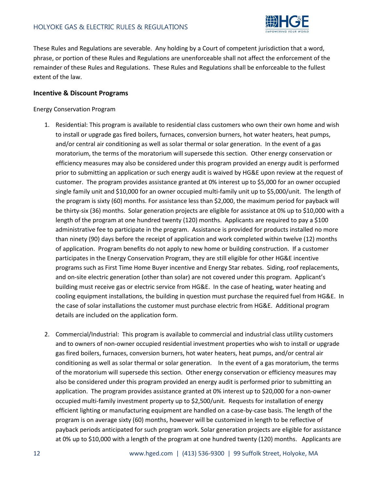

These Rules and Regulations are severable. Any holding by a Court of competent jurisdiction that a word, phrase, or portion of these Rules and Regulations are unenforceable shall not affect the enforcement of the remainder of these Rules and Regulations. These Rules and Regulations shall be enforceable to the fullest extent of the law.

#### **Incentive & Discount Programs**

#### Energy Conservation Program

- 1. Residential: This program is available to residential class customers who own their own home and wish to install or upgrade gas fired boilers, furnaces, conversion burners, hot water heaters, heat pumps, and/or central air conditioning as well as solar thermal or solar generation. In the event of a gas moratorium, the terms of the moratorium will supersede this section. Other energy conservation or efficiency measures may also be considered under this program provided an energy audit is performed prior to submitting an application or such energy audit is waived by HG&E upon review at the request of customer. The program provides assistance granted at 0% interest up to \$5,000 for an owner occupied single family unit and \$10,000 for an owner occupied multi-family unit up to \$5,000/unit. The length of the program is sixty (60) months. For assistance less than \$2,000, the maximum period for payback will be thirty-six (36) months. Solar generation projects are eligible for assistance at 0% up to \$10,000 with a length of the program at one hundred twenty (120) months. Applicants are required to pay a \$100 administrative fee to participate in the program. Assistance is provided for products installed no more than ninety (90) days before the receipt of application and work completed within twelve (12) months of application. Program benefits do not apply to new home or building construction. If a customer participates in the Energy Conservation Program, they are still eligible for other HG&E incentive programs such as First Time Home Buyer incentive and Energy Star rebates. Siding, roof replacements, and on-site electric generation (other than solar) are not covered under this program. Applicant's building must receive gas or electric service from HG&E. In the case of heating, water heating and cooling equipment installations, the building in question must purchase the required fuel from HG&E. In the case of solar installations the customer must purchase electric from HG&E. Additional program details are included on the application form.
- 2. Commercial/Industrial: This program is available to commercial and industrial class utility customers and to owners of non-owner occupied residential investment properties who wish to install or upgrade gas fired boilers, furnaces, conversion burners, hot water heaters, heat pumps, and/or central air conditioning as well as solar thermal or solar generation. In the event of a gas moratorium, the terms of the moratorium will supersede this section. Other energy conservation or efficiency measures may also be considered under this program provided an energy audit is performed prior to submitting an application. The program provides assistance granted at 0% interest up to \$20,000 for a non-owner occupied multi-family investment property up to \$2,500/unit. Requests for installation of energy efficient lighting or manufacturing equipment are handled on a case-by-case basis. The length of the program is on average sixty (60) months, however will be customized in length to be reflective of payback periods anticipated for such program work. Solar generation projects are eligible for assistance at 0% up to \$10,000 with a length of the program at one hundred twenty (120) months. Applicants are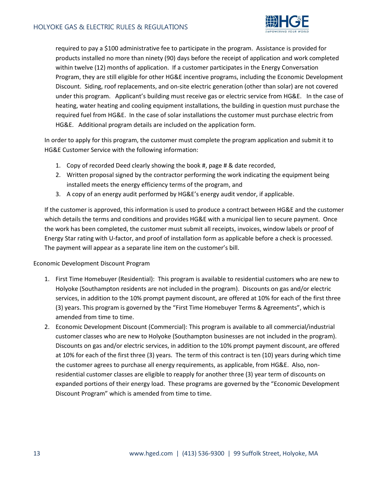

required to pay a \$100 administrative fee to participate in the program. Assistance is provided for products installed no more than ninety (90) days before the receipt of application and work completed within twelve (12) months of application. If a customer participates in the Energy Conversation Program, they are still eligible for other HG&E incentive programs, including the Economic Development Discount. Siding, roof replacements, and on-site electric generation (other than solar) are not covered under this program. Applicant's building must receive gas or electric service from HG&E. In the case of heating, water heating and cooling equipment installations, the building in question must purchase the required fuel from HG&E. In the case of solar installations the customer must purchase electric from HG&E. Additional program details are included on the application form.

In order to apply for this program, the customer must complete the program application and submit it to HG&E Customer Service with the following information:

- 1. Copy of recorded Deed clearly showing the book #, page # & date recorded,
- 2. Written proposal signed by the contractor performing the work indicating the equipment being installed meets the energy efficiency terms of the program, and
- 3. A copy of an energy audit performed by HG&E's energy audit vendor, if applicable.

If the customer is approved, this information is used to produce a contract between HG&E and the customer which details the terms and conditions and provides HG&E with a municipal lien to secure payment. Once the work has been completed, the customer must submit all receipts, invoices, window labels or proof of Energy Star rating with U-factor, and proof of installation form as applicable before a check is processed. The payment will appear as a separate line item on the customer's bill.

#### Economic Development Discount Program

- 1. First Time Homebuyer (Residential): This program is available to residential customers who are new to Holyoke (Southampton residents are not included in the program). Discounts on gas and/or electric services, in addition to the 10% prompt payment discount, are offered at 10% for each of the first three (3) years. This program is governed by the "First Time Homebuyer Terms & Agreements", which is amended from time to time.
- 2. Economic Development Discount (Commercial): This program is available to all commercial/industrial customer classes who are new to Holyoke (Southampton businesses are not included in the program). Discounts on gas and/or electric services, in addition to the 10% prompt payment discount, are offered at 10% for each of the first three (3) years. The term of this contract is ten (10) years during which time the customer agrees to purchase all energy requirements, as applicable, from HG&E. Also, nonresidential customer classes are eligible to reapply for another three (3) year term of discounts on expanded portions of their energy load. These programs are governed by the "Economic Development Discount Program" which is amended from time to time.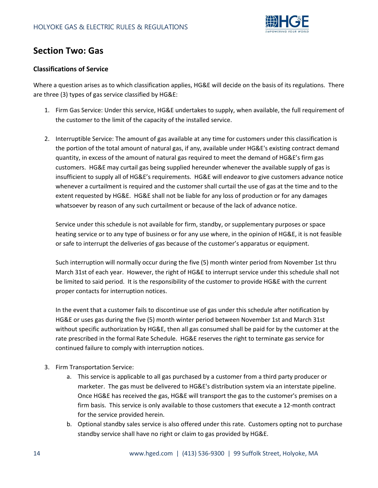

# **Section Two: Gas**

#### **Classifications of Service**

Where a question arises as to which classification applies, HG&E will decide on the basis of its regulations. There are three (3) types of gas service classified by HG&E:

- 1. Firm Gas Service: Under this service, HG&E undertakes to supply, when available, the full requirement of the customer to the limit of the capacity of the installed service.
- 2. Interruptible Service: The amount of gas available at any time for customers under this classification is the portion of the total amount of natural gas, if any, available under HG&E's existing contract demand quantity, in excess of the amount of natural gas required to meet the demand of HG&E's firm gas customers. HG&E may curtail gas being supplied hereunder whenever the available supply of gas is insufficient to supply all of HG&E's requirements. HG&E will endeavor to give customers advance notice whenever a curtailment is required and the customer shall curtail the use of gas at the time and to the extent requested by HG&E. HG&E shall not be liable for any loss of production or for any damages whatsoever by reason of any such curtailment or because of the lack of advance notice.

Service under this schedule is not available for firm, standby, or supplementary purposes or space heating service or to any type of business or for any use where, in the opinion of HG&E, it is not feasible or safe to interrupt the deliveries of gas because of the customer's apparatus or equipment.

Such interruption will normally occur during the five (5) month winter period from November 1st thru March 31st of each year. However, the right of HG&E to interrupt service under this schedule shall not be limited to said period. It is the responsibility of the customer to provide HG&E with the current proper contacts for interruption notices.

In the event that a customer fails to discontinue use of gas under this schedule after notification by HG&E or uses gas during the five (5) month winter period between November 1st and March 31st without specific authorization by HG&E, then all gas consumed shall be paid for by the customer at the rate prescribed in the formal Rate Schedule. HG&E reserves the right to terminate gas service for continued failure to comply with interruption notices.

- 3. Firm Transportation Service:
	- a. This service is applicable to all gas purchased by a customer from a third party producer or marketer. The gas must be delivered to HG&E's distribution system via an interstate pipeline. Once HG&E has received the gas, HG&E will transport the gas to the customer's premises on a firm basis. This service is only available to those customers that execute a 12-month contract for the service provided herein.
	- b. Optional standby sales service is also offered under this rate. Customers opting not to purchase standby service shall have no right or claim to gas provided by HG&E.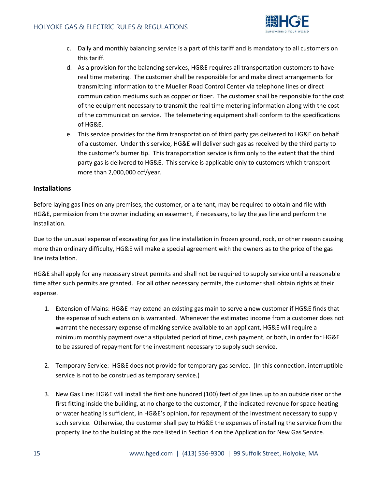

- c. Daily and monthly balancing service is a part of this tariff and is mandatory to all customers on this tariff.
- d. As a provision for the balancing services, HG&E requires all transportation customers to have real time metering. The customer shall be responsible for and make direct arrangements for transmitting information to the Mueller Road Control Center via telephone lines or direct communication mediums such as copper or fiber. The customer shall be responsible for the cost of the equipment necessary to transmit the real time metering information along with the cost of the communication service. The telemetering equipment shall conform to the specifications of HG&E.
- e. This service provides for the firm transportation of third party gas delivered to HG&E on behalf of a customer. Under this service, HG&E will deliver such gas as received by the third party to the customer's burner tip. This transportation service is firm only to the extent that the third party gas is delivered to HG&E. This service is applicable only to customers which transport more than 2,000,000 ccf/year.

#### **Installations**

Before laying gas lines on any premises, the customer, or a tenant, may be required to obtain and file with HG&E, permission from the owner including an easement, if necessary, to lay the gas line and perform the installation.

Due to the unusual expense of excavating for gas line installation in frozen ground, rock, or other reason causing more than ordinary difficulty, HG&E will make a special agreement with the owners as to the price of the gas line installation.

HG&E shall apply for any necessary street permits and shall not be required to supply service until a reasonable time after such permits are granted. For all other necessary permits, the customer shall obtain rights at their expense.

- 1. Extension of Mains: HG&E may extend an existing gas main to serve a new customer if HG&E finds that the expense of such extension is warranted. Whenever the estimated income from a customer does not warrant the necessary expense of making service available to an applicant, HG&E will require a minimum monthly payment over a stipulated period of time, cash payment, or both, in order for HG&E to be assured of repayment for the investment necessary to supply such service.
- 2. Temporary Service: HG&E does not provide for temporary gas service. (In this connection, interruptible service is not to be construed as temporary service.)
- 3. New Gas Line: HG&E will install the first one hundred (100) feet of gas lines up to an outside riser or the first fitting inside the building, at no charge to the customer, if the indicated revenue for space heating or water heating is sufficient, in HG&E's opinion, for repayment of the investment necessary to supply such service. Otherwise, the customer shall pay to HG&E the expenses of installing the service from the property line to the building at the rate listed in Section 4 on the Application for New Gas Service.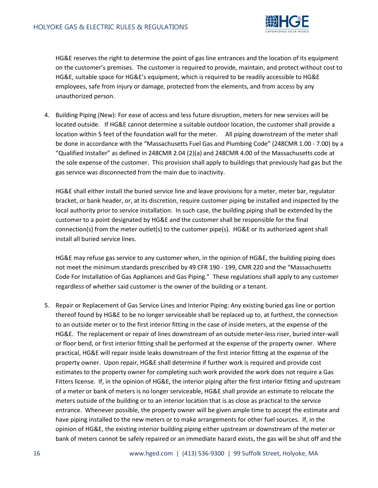

HG&E reserves the right to determine the point of gas line entrances and the location of its equipment on the customer's premises. The customer is required to provide, maintain, and protect without cost to HG&E, suitable space for HG&E's equipment, which is required to be readily accessible to HG&E employees, safe from injury or damage, protected from the elements, and from access by any unauthorized person.

4. Building Piping (New): For ease of access and less future disruption, meters for new services will be located outside. If HG&E cannot determine a suitable outdoor location, the customer shall provide a location within 5 feet of the foundation wall for the meter. All piping downstream of the meter shall be done in accordance with the "Massachusetts Fuel Gas and Plumbing Code" (248CMR 1.00 - 7.00) by a "Qualified Installer" as defined in 248CMR 2.04 (2)(a) and 248CMR 4.00 of the Massachusetts code at the sole expense of the customer. This provision shall apply to buildings that previously had gas but the gas service was disconnected from the main due to inactivity.

HG&E shall either install the buried service line and leave provisions for a meter, meter bar, regulator bracket, or bank header, or, at its discretion, require customer piping be installed and inspected by the local authority prior to service installation. In such case, the building piping shall be extended by the customer to a point designated by HG&E and the customer shall be responsible for the final connection(s) from the meter outlet(s) to the customer pipe(s). HG&E or its authorized agent shall install all buried service lines.

HG&E may refuse gas service to any customer when, in the opinion of HG&E, the building piping does not meet the minimum standards prescribed by 49 CFR 190 - 199, CMR 220 and the "Massachusetts Code For Installation of Gas Appliances and Gas Piping." These regulations shall apply to any customer regardless of whether said customer is the owner of the building or a tenant.

5. Repair or Replacement of Gas Service Lines and Interior Piping: Any existing buried gas line or portion thereof found by HG&E to be no longer serviceable shall be replaced up to, at furthest, the connection to an outside meter or to the first interior fitting in the case of inside meters, at the expense of the HG&E. The replacement or repair of lines downstream of an outside meter-less riser, buried inter-wall or floor bend, or first interior fitting shall be performed at the expense of the property owner. Where practical, HG&E will repair inside leaks downstream of the first interior fitting at the expense of the property owner. Upon repair, HG&E shall determine if further work is required and provide cost estimates to the property owner for completing such work provided the work does not require a Gas Fitters license. If, in the opinion of HG&E, the interior piping after the first interior fitting and upstream of a meter or bank of meters is no longer serviceable, HG&E shall provide an estimate to relocate the meters outside of the building or to an interior location that is as close as practical to the service entrance. Whenever possible, the property owner will be given ample time to accept the estimate and have piping installed to the new meters or to make arrangements for other fuel sources. If, in the opinion of HG&E, the existing interior building piping either upstream or downstream of the meter or bank of meters cannot be safely repaired or an immediate hazard exists, the gas will be shut off and the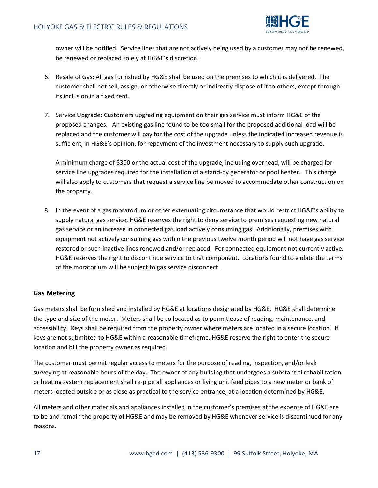

owner will be notified. Service lines that are not actively being used by a customer may not be renewed, be renewed or replaced solely at HG&E's discretion.

- 6. Resale of Gas: All gas furnished by HG&E shall be used on the premises to which it is delivered. The customer shall not sell, assign, or otherwise directly or indirectly dispose of it to others, except through its inclusion in a fixed rent.
- 7. Service Upgrade: Customers upgrading equipment on their gas service must inform HG&E of the proposed changes. An existing gas line found to be too small for the proposed additional load will be replaced and the customer will pay for the cost of the upgrade unless the indicated increased revenue is sufficient, in HG&E's opinion, for repayment of the investment necessary to supply such upgrade.

A minimum charge of \$300 or the actual cost of the upgrade, including overhead, will be charged for service line upgrades required for the installation of a stand-by generator or pool heater. This charge will also apply to customers that request a service line be moved to accommodate other construction on the property.

8. In the event of a gas moratorium or other extenuating circumstance that would restrict HG&E's ability to supply natural gas service, HG&E reserves the right to deny service to premises requesting new natural gas service or an increase in connected gas load actively consuming gas. Additionally, premises with equipment not actively consuming gas within the previous twelve month period will not have gas service restored or such inactive lines renewed and/or replaced. For connected equipment not currently active, HG&E reserves the right to discontinue service to that component. Locations found to violate the terms of the moratorium will be subject to gas service disconnect.

#### **Gas Metering**

Gas meters shall be furnished and installed by HG&E at locations designated by HG&E. HG&E shall determine the type and size of the meter. Meters shall be so located as to permit ease of reading, maintenance, and accessibility. Keys shall be required from the property owner where meters are located in a secure location. If keys are not submitted to HG&E within a reasonable timeframe, HG&E reserve the right to enter the secure location and bill the property owner as required.

The customer must permit regular access to meters for the purpose of reading, inspection, and/or leak surveying at reasonable hours of the day. The owner of any building that undergoes a substantial rehabilitation or heating system replacement shall re-pipe all appliances or living unit feed pipes to a new meter or bank of meters located outside or as close as practical to the service entrance, at a location determined by HG&E.

All meters and other materials and appliances installed in the customer's premises at the expense of HG&E are to be and remain the property of HG&E and may be removed by HG&E whenever service is discontinued for any reasons.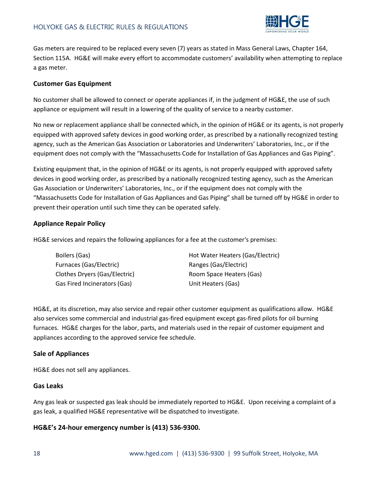

Gas meters are required to be replaced every seven (7) years as stated in Mass General Laws, Chapter 164, Section 115A. HG&E will make every effort to accommodate customers' availability when attempting to replace a gas meter.

#### **Customer Gas Equipment**

No customer shall be allowed to connect or operate appliances if, in the judgment of HG&E, the use of such appliance or equipment will result in a lowering of the quality of service to a nearby customer.

No new or replacement appliance shall be connected which, in the opinion of HG&E or its agents, is not properly equipped with approved safety devices in good working order, as prescribed by a nationally recognized testing agency, such as the American Gas Association or Laboratories and Underwriters' Laboratories, Inc., or if the equipment does not comply with the "Massachusetts Code for Installation of Gas Appliances and Gas Piping".

Existing equipment that, in the opinion of HG&E or its agents, is not properly equipped with approved safety devices in good working order, as prescribed by a nationally recognized testing agency, such as the American Gas Association or Underwriters' Laboratories, Inc., or if the equipment does not comply with the "Massachusetts Code for Installation of Gas Appliances and Gas Piping" shall be turned off by HG&E in order to prevent their operation until such time they can be operated safely.

#### **Appliance Repair Policy**

HG&E services and repairs the following appliances for a fee at the customer's premises:

| Boilers (Gas)                 | Hot Water Heaters (Gas/Electric) |
|-------------------------------|----------------------------------|
| Furnaces (Gas/Electric)       | Ranges (Gas/Electric)            |
| Clothes Dryers (Gas/Electric) | Room Space Heaters (Gas)         |
| Gas Fired Incinerators (Gas)  | Unit Heaters (Gas)               |

HG&E, at its discretion, may also service and repair other customer equipment as qualifications allow. HG&E also services some commercial and industrial gas-fired equipment except gas-fired pilots for oil burning furnaces. HG&E charges for the labor, parts, and materials used in the repair of customer equipment and appliances according to the approved service fee schedule.

#### **Sale of Appliances**

HG&E does not sell any appliances.

#### **Gas Leaks**

Any gas leak or suspected gas leak should be immediately reported to HG&E. Upon receiving a complaint of a gas leak, a qualified HG&E representative will be dispatched to investigate.

#### **HG&E's 24-hour emergency number is (413) 536-9300.**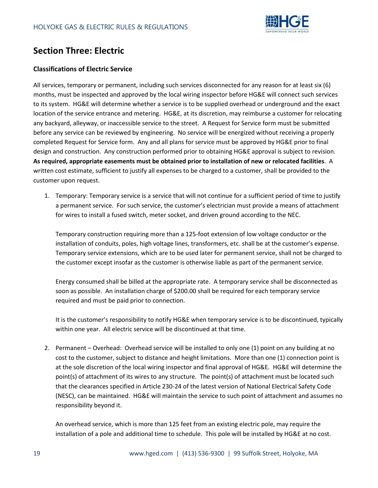

# **Section Three: Electric**

### **Classifications of Electric Service**

All services, temporary or permanent, including such services disconnected for any reason for at least six (6) months, must be inspected and approved by the local wiring inspector before HG&E will connect such services to its system. HG&E will determine whether a service is to be supplied overhead or underground and the exact location of the service entrance and metering. HG&E, at its discretion, may reimburse a customer for relocating any backyard, alleyway, or inaccessible service to the street. A Request for Service form must be submitted before any service can be reviewed by engineering. No service will be energized without receiving a properly completed Request for Service form. Any and all plans for service must be approved by HG&E prior to final design and construction. Any construction performed prior to obtaining HG&E approval is subject to revision. **As required, appropriate easements must be obtained prior to installation of new or relocated facilities**. A written cost estimate, sufficient to justify all expenses to be charged to a customer, shall be provided to the customer upon request.

1. Temporary: Temporary service is a service that will not continue for a sufficient period of time to justify a permanent service. For such service, the customer's electrician must provide a means of attachment for wires to install a fused switch, meter socket, and driven ground according to the NEC.

Temporary construction requiring more than a 125-foot extension of low voltage conductor or the installation of conduits, poles, high voltage lines, transformers, etc. shall be at the customer's expense. Temporary service extensions, which are to be used later for permanent service, shall not be charged to the customer except insofar as the customer is otherwise liable as part of the permanent service.

Energy consumed shall be billed at the appropriate rate. A temporary service shall be disconnected as soon as possible. An installation charge of \$200.00 shall be required for each temporary service required and must be paid prior to connection.

It is the customer's responsibility to notify HG&E when temporary service is to be discontinued, typically within one year. All electric service will be discontinued at that time.

2. Permanent – Overhead: Overhead service will be installed to only one (1) point on any building at no cost to the customer, subject to distance and height limitations. More than one (1) connection point is at the sole discretion of the local wiring inspector and final approval of HG&E. HG&E will determine the point(s) of attachment of its wires to any structure. The point(s) of attachment must be located such that the clearances specified in Article 230-24 of the latest version of National Electrical Safety Code (NESC), can be maintained. HG&E will maintain the service to such point of attachment and assumes no responsibility beyond it.

An overhead service, which is more than 125 feet from an existing electric pole, may require the installation of a pole and additional time to schedule. This pole will be installed by HG&E at no cost.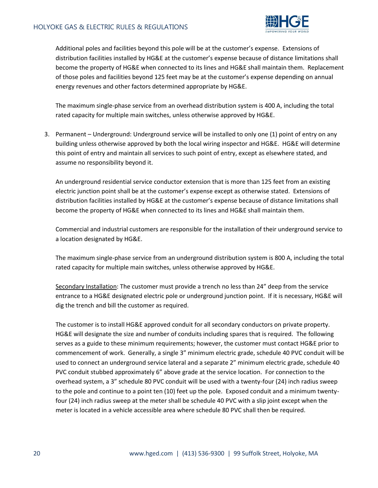

Additional poles and facilities beyond this pole will be at the customer's expense. Extensions of distribution facilities installed by HG&E at the customer's expense because of distance limitations shall become the property of HG&E when connected to its lines and HG&E shall maintain them. Replacement of those poles and facilities beyond 125 feet may be at the customer's expense depending on annual energy revenues and other factors determined appropriate by HG&E.

The maximum single-phase service from an overhead distribution system is 400 A, including the total rated capacity for multiple main switches, unless otherwise approved by HG&E.

3. Permanent – Underground: Underground service will be installed to only one (1) point of entry on any building unless otherwise approved by both the local wiring inspector and HG&E. HG&E will determine this point of entry and maintain all services to such point of entry, except as elsewhere stated, and assume no responsibility beyond it.

An underground residential service conductor extension that is more than 125 feet from an existing electric junction point shall be at the customer's expense except as otherwise stated. Extensions of distribution facilities installed by HG&E at the customer's expense because of distance limitations shall become the property of HG&E when connected to its lines and HG&E shall maintain them.

Commercial and industrial customers are responsible for the installation of their underground service to a location designated by HG&E.

The maximum single-phase service from an underground distribution system is 800 A, including the total rated capacity for multiple main switches, unless otherwise approved by HG&E.

Secondary Installation: The customer must provide a trench no less than 24" deep from the service entrance to a HG&E designated electric pole or underground junction point. If it is necessary, HG&E will dig the trench and bill the customer as required.

The customer is to install HG&E approved conduit for all secondary conductors on private property. HG&E will designate the size and number of conduits including spares that is required. The following serves as a guide to these minimum requirements; however, the customer must contact HG&E prior to commencement of work. Generally, a single 3" minimum electric grade, schedule 40 PVC conduit will be used to connect an underground service lateral and a separate 2" minimum electric grade, schedule 40 PVC conduit stubbed approximately 6" above grade at the service location. For connection to the overhead system, a 3" schedule 80 PVC conduit will be used with a twenty-four (24) inch radius sweep to the pole and continue to a point ten (10) feet up the pole. Exposed conduit and a minimum twentyfour (24) inch radius sweep at the meter shall be schedule 40 PVC with a slip joint except when the meter is located in a vehicle accessible area where schedule 80 PVC shall then be required.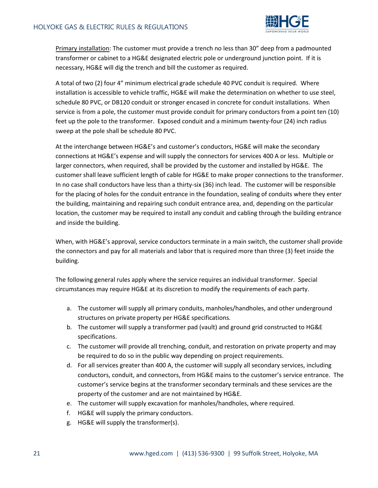

Primary installation: The customer must provide a trench no less than 30" deep from a padmounted transformer or cabinet to a HG&E designated electric pole or underground junction point. If it is necessary, HG&E will dig the trench and bill the customer as required.

A total of two (2) four 4" minimum electrical grade schedule 40 PVC conduit is required. Where installation is accessible to vehicle traffic, HG&E will make the determination on whether to use steel, schedule 80 PVC, or DB120 conduit or stronger encased in concrete for conduit installations. When service is from a pole, the customer must provide conduit for primary conductors from a point ten (10) feet up the pole to the transformer. Exposed conduit and a minimum twenty-four (24) inch radius sweep at the pole shall be schedule 80 PVC.

At the interchange between HG&E's and customer's conductors, HG&E will make the secondary connections at HG&E's expense and will supply the connectors for services 400 A or less. Multiple or larger connectors, when required, shall be provided by the customer and installed by HG&E. The customer shall leave sufficient length of cable for HG&E to make proper connections to the transformer. In no case shall conductors have less than a thirty-six (36) inch lead. The customer will be responsible for the placing of holes for the conduit entrance in the foundation, sealing of conduits where they enter the building, maintaining and repairing such conduit entrance area, and, depending on the particular location, the customer may be required to install any conduit and cabling through the building entrance and inside the building.

When, with HG&E's approval, service conductors terminate in a main switch, the customer shall provide the connectors and pay for all materials and labor that is required more than three (3) feet inside the building.

The following general rules apply where the service requires an individual transformer. Special circumstances may require HG&E at its discretion to modify the requirements of each party.

- a. The customer will supply all primary conduits, manholes/handholes, and other underground structures on private property per HG&E specifications.
- b. The customer will supply a transformer pad (vault) and ground grid constructed to HG&E specifications.
- c. The customer will provide all trenching, conduit, and restoration on private property and may be required to do so in the public way depending on project requirements.
- d. For all services greater than 400 A, the customer will supply all secondary services, including conductors, conduit, and connectors, from HG&E mains to the customer's service entrance. The customer's service begins at the transformer secondary terminals and these services are the property of the customer and are not maintained by HG&E.
- e. The customer will supply excavation for manholes/handholes, where required.
- f. HG&E will supply the primary conductors.
- g. HG&E will supply the transformer(s).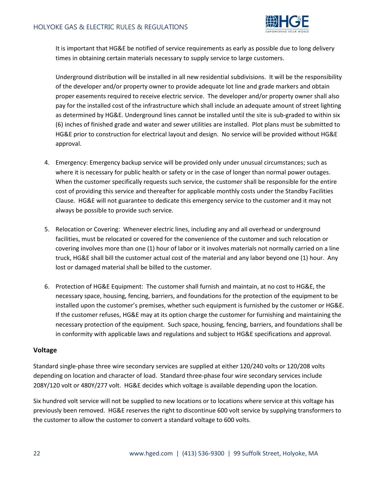

It is important that HG&E be notified of service requirements as early as possible due to long delivery times in obtaining certain materials necessary to supply service to large customers.

Underground distribution will be installed in all new residential subdivisions. It will be the responsibility of the developer and/or property owner to provide adequate lot line and grade markers and obtain proper easements required to receive electric service. The developer and/or property owner shall also pay for the installed cost of the infrastructure which shall include an adequate amount of street lighting as determined by HG&E. Underground lines cannot be installed until the site is sub-graded to within six (6) inches of finished grade and water and sewer utilities are installed. Plot plans must be submitted to HG&E prior to construction for electrical layout and design. No service will be provided without HG&E approval.

- 4. Emergency: Emergency backup service will be provided only under unusual circumstances; such as where it is necessary for public health or safety or in the case of longer than normal power outages. When the customer specifically requests such service, the customer shall be responsible for the entire cost of providing this service and thereafter for applicable monthly costs under the Standby Facilities Clause. HG&E will not guarantee to dedicate this emergency service to the customer and it may not always be possible to provide such service.
- 5. Relocation or Covering: Whenever electric lines, including any and all overhead or underground facilities, must be relocated or covered for the convenience of the customer and such relocation or covering involves more than one (1) hour of labor or it involves materials not normally carried on a line truck, HG&E shall bill the customer actual cost of the material and any labor beyond one (1) hour. Any lost or damaged material shall be billed to the customer.
- 6. Protection of HG&E Equipment: The customer shall furnish and maintain, at no cost to HG&E, the necessary space, housing, fencing, barriers, and foundations for the protection of the equipment to be installed upon the customer's premises, whether such equipment is furnished by the customer or HG&E. If the customer refuses, HG&E may at its option charge the customer for furnishing and maintaining the necessary protection of the equipment. Such space, housing, fencing, barriers, and foundations shall be in conformity with applicable laws and regulations and subject to HG&E specifications and approval.

#### **Voltage**

Standard single-phase three wire secondary services are supplied at either 120/240 volts or 120/208 volts depending on location and character of load. Standard three-phase four wire secondary services include 208Y/120 volt or 480Y/277 volt. HG&E decides which voltage is available depending upon the location.

Six hundred volt service will not be supplied to new locations or to locations where service at this voltage has previously been removed. HG&E reserves the right to discontinue 600 volt service by supplying transformers to the customer to allow the customer to convert a standard voltage to 600 volts.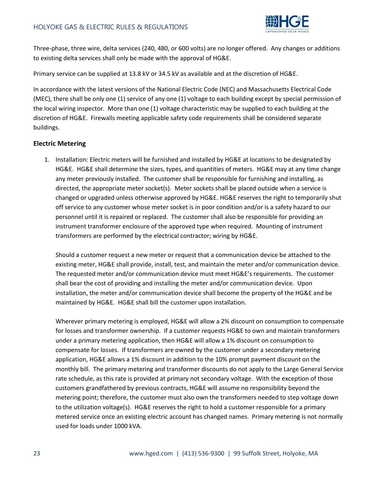

Three-phase, three wire, delta services (240, 480, or 600 volts) are no longer offered. Any changes or additions to existing delta services shall only be made with the approval of HG&E.

Primary service can be supplied at 13.8 kV or 34.5 kV as available and at the discretion of HG&E.

In accordance with the latest versions of the National Electric Code (NEC) and Massachusetts Electrical Code (MEC), there shall be only one (1) service of any one (1) voltage to each building except by special permission of the local wiring inspector. More than one (1) voltage characteristic may be supplied to each building at the discretion of HG&E. Firewalls meeting applicable safety code requirements shall be considered separate buildings.

#### **Electric Metering**

1. Installation: Electric meters will be furnished and installed by HG&E at locations to be designated by HG&E. HG&E shall determine the sizes, types, and quantities of meters. HG&E may at any time change any meter previously installed. The customer shall be responsible for furnishing and installing, as directed, the appropriate meter socket(s). Meter sockets shall be placed outside when a service is changed or upgraded unless otherwise approved by HG&E. HG&E reserves the right to temporarily shut off service to any customer whose meter socket is in poor condition and/or is a safety hazard to our personnel until it is repaired or replaced. The customer shall also be responsible for providing an instrument transformer enclosure of the approved type when required. Mounting of instrument transformers are performed by the electrical contractor; wiring by HG&E.

Should a customer request a new meter or request that a communication device be attached to the existing meter, HG&E shall provide, install, test, and maintain the meter and/or communication device. The requested meter and/or communication device must meet HG&E's requirements. The customer shall bear the cost of providing and installing the meter and/or communication device. Upon installation, the meter and/or communication device shall become the property of the HG&E and be maintained by HG&E. HG&E shall bill the customer upon installation.

Wherever primary metering is employed, HG&E will allow a 2% discount on consumption to compensate for losses and transformer ownership. If a customer requests HG&E to own and maintain transformers under a primary metering application, then HG&E will allow a 1% discount on consumption to compensate for losses. If transformers are owned by the customer under a secondary metering application, HG&E allows a 1% discount in addition to the 10% prompt payment discount on the monthly bill. The primary metering and transformer discounts do not apply to the Large General Service rate schedule, as this rate is provided at primary not secondary voltage. With the exception of those customers grandfathered by previous contracts, HG&E will assume no responsibility beyond the metering point; therefore, the customer must also own the transformers needed to step voltage down to the utilization voltage(s). HG&E reserves the right to hold a customer responsible for a primary metered service once an existing electric account has changed names. Primary metering is not normally used for loads under 1000 kVA.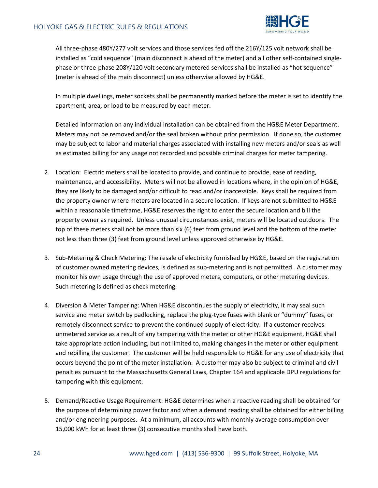

All three-phase 480Y/277 volt services and those services fed off the 216Y/125 volt network shall be installed as "cold sequence" (main disconnect is ahead of the meter) and all other self-contained singlephase or three-phase 208Y/120 volt secondary metered services shall be installed as "hot sequence" (meter is ahead of the main disconnect) unless otherwise allowed by HG&E.

In multiple dwellings, meter sockets shall be permanently marked before the meter is set to identify the apartment, area, or load to be measured by each meter.

Detailed information on any individual installation can be obtained from the HG&E Meter Department. Meters may not be removed and/or the seal broken without prior permission. If done so, the customer may be subject to labor and material charges associated with installing new meters and/or seals as well as estimated billing for any usage not recorded and possible criminal charges for meter tampering.

- 2. Location: Electric meters shall be located to provide, and continue to provide, ease of reading, maintenance, and accessibility. Meters will not be allowed in locations where, in the opinion of HG&E, they are likely to be damaged and/or difficult to read and/or inaccessible. Keys shall be required from the property owner where meters are located in a secure location. If keys are not submitted to HG&E within a reasonable timeframe, HG&E reserves the right to enter the secure location and bill the property owner as required. Unless unusual circumstances exist, meters will be located outdoors. The top of these meters shall not be more than six (6) feet from ground level and the bottom of the meter not less than three (3) feet from ground level unless approved otherwise by HG&E.
- 3. Sub-Metering & Check Metering: The resale of electricity furnished by HG&E, based on the registration of customer owned metering devices, is defined as sub-metering and is not permitted. A customer may monitor his own usage through the use of approved meters, computers, or other metering devices. Such metering is defined as check metering.
- 4. Diversion & Meter Tampering: When HG&E discontinues the supply of electricity, it may seal such service and meter switch by padlocking, replace the plug-type fuses with blank or "dummy" fuses, or remotely disconnect service to prevent the continued supply of electricity. If a customer receives unmetered service as a result of any tampering with the meter or other HG&E equipment, HG&E shall take appropriate action including, but not limited to, making changes in the meter or other equipment and rebilling the customer. The customer will be held responsible to HG&E for any use of electricity that occurs beyond the point of the meter installation. A customer may also be subject to criminal and civil penalties pursuant to the Massachusetts General Laws, Chapter 164 and applicable DPU regulations for tampering with this equipment.
- 5. Demand/Reactive Usage Requirement: HG&E determines when a reactive reading shall be obtained for the purpose of determining power factor and when a demand reading shall be obtained for either billing and/or engineering purposes. At a minimum, all accounts with monthly average consumption over 15,000 kWh for at least three (3) consecutive months shall have both.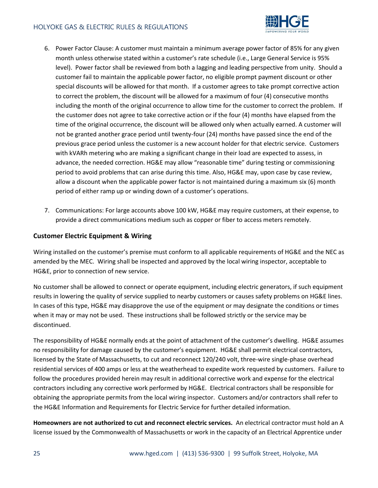

- 6. Power Factor Clause: A customer must maintain a minimum average power factor of 85% for any given month unless otherwise stated within a customer's rate schedule (i.e., Large General Service is 95% level). Power factor shall be reviewed from both a lagging and leading perspective from unity. Should a customer fail to maintain the applicable power factor, no eligible prompt payment discount or other special discounts will be allowed for that month. If a customer agrees to take prompt corrective action to correct the problem, the discount will be allowed for a maximum of four (4) consecutive months including the month of the original occurrence to allow time for the customer to correct the problem. If the customer does not agree to take corrective action or if the four (4) months have elapsed from the time of the original occurrence, the discount will be allowed only when actually earned. A customer will not be granted another grace period until twenty-four (24) months have passed since the end of the previous grace period unless the customer is a new account holder for that electric service. Customers with kVARh metering who are making a significant change in their load are expected to assess, in advance, the needed correction. HG&E may allow "reasonable time" during testing or commissioning period to avoid problems that can arise during this time. Also, HG&E may, upon case by case review, allow a discount when the applicable power factor is not maintained during a maximum six (6) month period of either ramp up or winding down of a customer's operations.
- 7. Communications: For large accounts above 100 kW, HG&E may require customers, at their expense, to provide a direct communications medium such as copper or fiber to access meters remotely.

#### **Customer Electric Equipment & Wiring**

Wiring installed on the customer's premise must conform to all applicable requirements of HG&E and the NEC as amended by the MEC. Wiring shall be inspected and approved by the local wiring inspector, acceptable to HG&E, prior to connection of new service.

No customer shall be allowed to connect or operate equipment, including electric generators, if such equipment results in lowering the quality of service supplied to nearby customers or causes safety problems on HG&E lines. In cases of this type, HG&E may disapprove the use of the equipment or may designate the conditions or times when it may or may not be used. These instructions shall be followed strictly or the service may be discontinued.

The responsibility of HG&E normally ends at the point of attachment of the customer's dwelling. HG&E assumes no responsibility for damage caused by the customer's equipment. HG&E shall permit electrical contractors, licensed by the State of Massachusetts, to cut and reconnect 120/240 volt, three-wire single-phase overhead residential services of 400 amps or less at the weatherhead to expedite work requested by customers. Failure to follow the procedures provided herein may result in additional corrective work and expense for the electrical contractors including any corrective work performed by HG&E. Electrical contractors shall be responsible for obtaining the appropriate permits from the local wiring inspector. Customers and/or contractors shall refer to the HG&E Information and Requirements for Electric Service for further detailed information.

**Homeowners are not authorized to cut and reconnect electric services.** An electrical contractor must hold an A license issued by the Commonwealth of Massachusetts or work in the capacity of an Electrical Apprentice under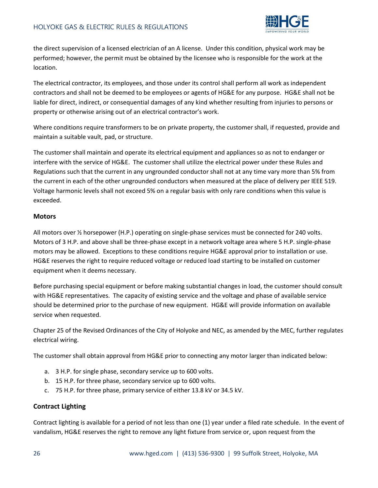

the direct supervision of a licensed electrician of an A license. Under this condition, physical work may be performed; however, the permit must be obtained by the licensee who is responsible for the work at the location.

The electrical contractor, its employees, and those under its control shall perform all work as independent contractors and shall not be deemed to be employees or agents of HG&E for any purpose. HG&E shall not be liable for direct, indirect, or consequential damages of any kind whether resulting from injuries to persons or property or otherwise arising out of an electrical contractor's work.

Where conditions require transformers to be on private property, the customer shall, if requested, provide and maintain a suitable vault, pad, or structure.

The customer shall maintain and operate its electrical equipment and appliances so as not to endanger or interfere with the service of HG&E. The customer shall utilize the electrical power under these Rules and Regulations such that the current in any ungrounded conductor shall not at any time vary more than 5% from the current in each of the other ungrounded conductors when measured at the place of delivery per IEEE 519. Voltage harmonic levels shall not exceed 5% on a regular basis with only rare conditions when this value is exceeded.

#### **Motors**

All motors over ½ horsepower (H.P.) operating on single-phase services must be connected for 240 volts. Motors of 3 H.P. and above shall be three-phase except in a network voltage area where 5 H.P. single-phase motors may be allowed. Exceptions to these conditions require HG&E approval prior to installation or use. HG&E reserves the right to require reduced voltage or reduced load starting to be installed on customer equipment when it deems necessary.

Before purchasing special equipment or before making substantial changes in load, the customer should consult with HG&E representatives. The capacity of existing service and the voltage and phase of available service should be determined prior to the purchase of new equipment. HG&E will provide information on available service when requested.

Chapter 25 of the Revised Ordinances of the City of Holyoke and NEC, as amended by the MEC, further regulates electrical wiring.

The customer shall obtain approval from HG&E prior to connecting any motor larger than indicated below:

- a. 3 H.P. for single phase, secondary service up to 600 volts.
- b. 15 H.P. for three phase, secondary service up to 600 volts.
- c. 75 H.P. for three phase, primary service of either 13.8 kV or 34.5 kV.

#### **Contract Lighting**

Contract lighting is available for a period of not less than one (1) year under a filed rate schedule. In the event of vandalism, HG&E reserves the right to remove any light fixture from service or, upon request from the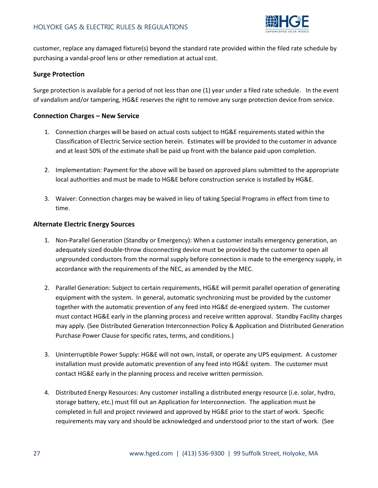

customer, replace any damaged fixture(s) beyond the standard rate provided within the filed rate schedule by purchasing a vandal-proof lens or other remediation at actual cost.

#### **Surge Protection**

Surge protection is available for a period of not less than one (1) year under a filed rate schedule. In the event of vandalism and/or tampering, HG&E reserves the right to remove any surge protection device from service.

#### **Connection Charges – New Service**

- 1. Connection charges will be based on actual costs subject to HG&E requirements stated within the Classification of Electric Service section herein. Estimates will be provided to the customer in advance and at least 50% of the estimate shall be paid up front with the balance paid upon completion.
- 2. Implementation: Payment for the above will be based on approved plans submitted to the appropriate local authorities and must be made to HG&E before construction service is installed by HG&E.
- 3. Waiver: Connection charges may be waived in lieu of taking Special Programs in effect from time to time.

#### **Alternate Electric Energy Sources**

- 1. Non-Parallel Generation (Standby or Emergency): When a customer installs emergency generation, an adequately sized double-throw disconnecting device must be provided by the customer to open all ungrounded conductors from the normal supply before connection is made to the emergency supply, in accordance with the requirements of the NEC, as amended by the MEC.
- 2. Parallel Generation: Subject to certain requirements, HG&E will permit parallel operation of generating equipment with the system. In general, automatic synchronizing must be provided by the customer together with the automatic prevention of any feed into HG&E de-energized system. The customer must contact HG&E early in the planning process and receive written approval. Standby Facility charges may apply. (See Distributed Generation Interconnection Policy & Application and Distributed Generation Purchase Power Clause for specific rates, terms, and conditions.)
- 3. Uninterruptible Power Supply: HG&E will not own, install, or operate any UPS equipment. A customer installation must provide automatic prevention of any feed into HG&E system. The customer must contact HG&E early in the planning process and receive written permission.
- 4. Distributed Energy Resources: Any customer installing a distributed energy resource (i.e. solar, hydro, storage battery, etc.) must fill out an Application for Interconnection. The application must be completed in full and project reviewed and approved by HG&E prior to the start of work. Specific requirements may vary and should be acknowledged and understood prior to the start of work. (See